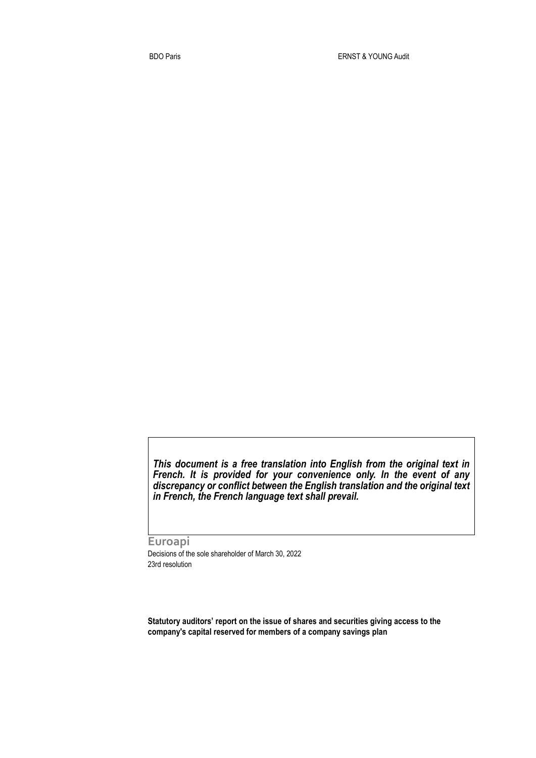*This document is a free translation into English from the original text in French. It is provided for your convenience only. In the event of any discrepancy or conflict between the English translation and the original text in French, the French language text shall prevail.* 

**Euroapi** Decisions of the sole shareholder of March 30, 2022 23rd resolution

**Statutory auditors' report on the issue of shares and securities giving access to the company's capital reserved for members of a company savings plan**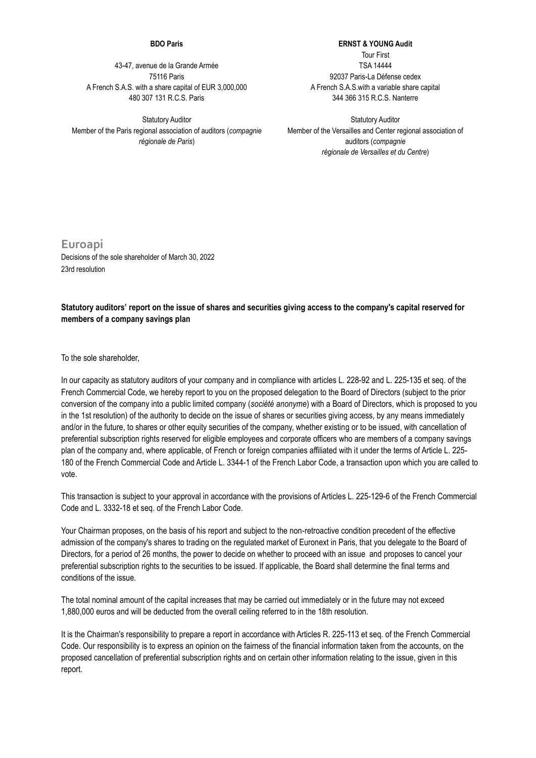## **BDO Paris**

43-47, avenue de la Grande Armée 75116 Paris A French S.A.S. with a share capital of EUR 3,000,000 480 307 131 R.C.S. Paris

Statutory Auditor Member of the Paris regional association of auditors (*compagnie régionale de Paris*)

**ERNST & YOUNG Audit** Tour First TSA 14444 92037 Paris-La Défense cedex A French S.A.S.with a variable share capital 344 366 315 R.C.S. Nanterre

Statutory Auditor Member of the Versailles and Center regional association of auditors (*compagnie régionale de Versailles et du Centre*)

**Euroapi** Decisions of the sole shareholder of March 30, 2022 23rd resolution

## **Statutory auditors' report on the issue of shares and securities giving access to the company's capital reserved for members of a company savings plan**

To the sole shareholder,

In our capacity as statutory auditors of your company and in compliance with articles L. 228-92 and L. 225-135 et seq. of the French Commercial Code, we hereby report to you on the proposed delegation to the Board of Directors (subject to the prior conversion of the company into a public limited company (*société anonyme*) with a Board of Directors, which is proposed to you in the 1st resolution) of the authority to decide on the issue of shares or securities giving access, by any means immediately and/or in the future, to shares or other equity securities of the company, whether existing or to be issued, with cancellation of preferential subscription rights reserved for eligible employees and corporate officers who are members of a company savings plan of the company and, where applicable, of French or foreign companies affiliated with it under the terms of Article L. 225- 180 of the French Commercial Code and Article L. 3344-1 of the French Labor Code, a transaction upon which you are called to vote.

This transaction is subject to your approval in accordance with the provisions of Articles L. 225-129-6 of the French Commercial Code and L. 3332-18 et seq. of the French Labor Code.

Your Chairman proposes, on the basis of his report and subject to the non-retroactive condition precedent of the effective admission of the company's shares to trading on the regulated market of Euronext in Paris, that you delegate to the Board of Directors, for a period of 26 months, the power to decide on whether to proceed with an issue and proposes to cancel your preferential subscription rights to the securities to be issued. If applicable, the Board shall determine the final terms and conditions of the issue.

The total nominal amount of the capital increases that may be carried out immediately or in the future may not exceed 1,880,000 euros and will be deducted from the overall ceiling referred to in the 18th resolution.

It is the Chairman's responsibility to prepare a report in accordance with Articles R. 225-113 et seq. of the French Commercial Code. Our responsibility is to express an opinion on the fairness of the financial information taken from the accounts, on the proposed cancellation of preferential subscription rights and on certain other information relating to the issue, given in this report.